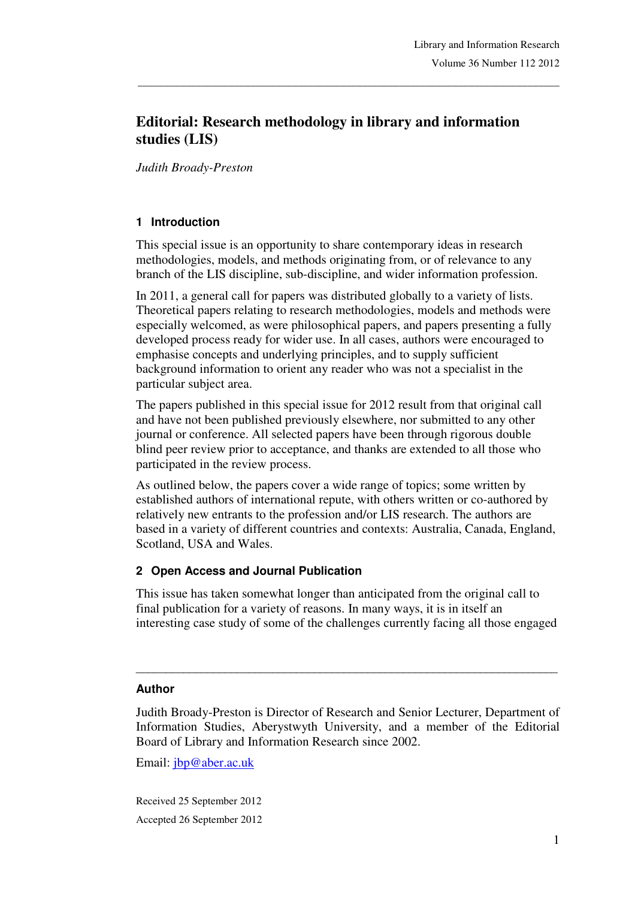# **Editorial: Research methodology in library and information studies (LIS)**

\_\_\_\_\_\_\_\_\_\_\_\_\_\_\_\_\_\_\_\_\_\_\_\_\_\_\_\_\_\_\_\_\_\_\_\_\_\_\_\_\_\_\_\_\_\_\_\_\_\_\_\_\_\_\_\_\_\_\_\_\_\_\_\_\_\_\_\_\_\_\_\_\_\_\_\_\_\_\_

*Judith Broady-Preston* 

## **1 Introduction**

This special issue is an opportunity to share contemporary ideas in research methodologies, models, and methods originating from, or of relevance to any branch of the LIS discipline, sub-discipline, and wider information profession.

In 2011, a general call for papers was distributed globally to a variety of lists. Theoretical papers relating to research methodologies, models and methods were especially welcomed, as were philosophical papers, and papers presenting a fully developed process ready for wider use. In all cases, authors were encouraged to emphasise concepts and underlying principles, and to supply sufficient background information to orient any reader who was not a specialist in the particular subject area.

The papers published in this special issue for 2012 result from that original call and have not been published previously elsewhere, nor submitted to any other journal or conference. All selected papers have been through rigorous double blind peer review prior to acceptance, and thanks are extended to all those who participated in the review process.

As outlined below, the papers cover a wide range of topics; some written by established authors of international repute, with others written or co-authored by relatively new entrants to the profession and/or LIS research. The authors are based in a variety of different countries and contexts: Australia, Canada, England, Scotland, USA and Wales.

### **2 Open Access and Journal Publication**

This issue has taken somewhat longer than anticipated from the original call to final publication for a variety of reasons. In many ways, it is in itself an interesting case study of some of the challenges currently facing all those engaged

#### \_\_\_\_\_\_\_\_\_\_\_\_\_\_\_\_\_\_\_\_\_\_\_\_\_\_\_\_\_\_\_\_\_\_\_\_\_\_\_\_\_\_\_\_\_\_\_\_\_\_\_\_\_\_\_\_\_\_\_\_\_\_\_\_\_\_\_\_\_\_\_ **Author**

Judith Broady-Preston is Director of Research and Senior Lecturer, Department of Information Studies, Aberystwyth University, and a member of the Editorial Board of Library and Information Research since 2002.

Email: jbp@aber.ac.uk

Received 25 September 2012 Accepted 26 September 2012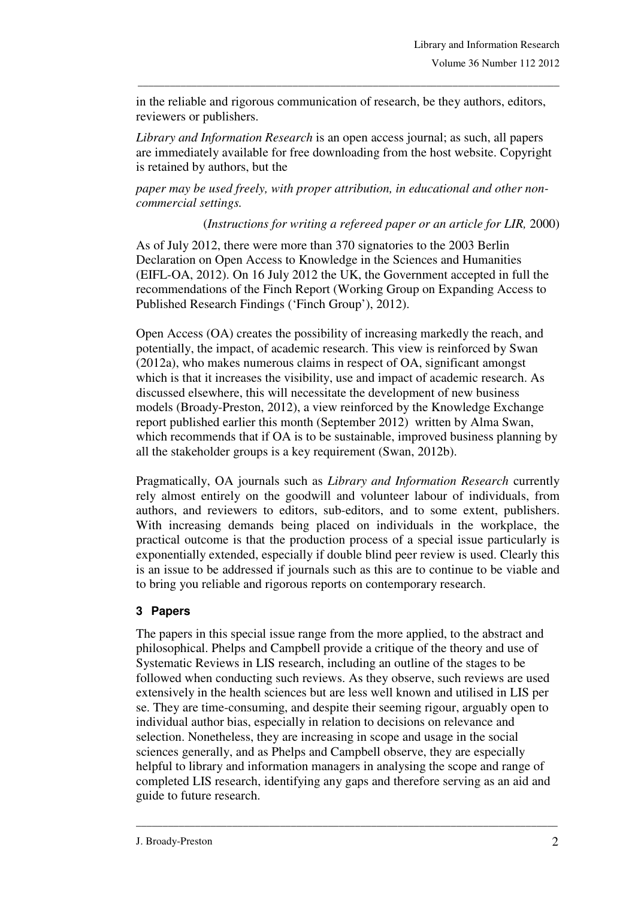in the reliable and rigorous communication of research, be they authors, editors, reviewers or publishers.

\_\_\_\_\_\_\_\_\_\_\_\_\_\_\_\_\_\_\_\_\_\_\_\_\_\_\_\_\_\_\_\_\_\_\_\_\_\_\_\_\_\_\_\_\_\_\_\_\_\_\_\_\_\_\_\_\_\_\_\_\_\_\_\_\_\_\_\_\_\_\_\_\_\_\_\_\_\_\_

*Library and Information Research* is an open access journal; as such, all papers are immediately available for free downloading from the host website. Copyright is retained by authors, but the

*paper may be used freely, with proper attribution, in educational and other noncommercial settings.*

(*Instructions for writing a refereed paper or an article for LIR,* 2000)

As of July 2012, there were more than 370 signatories to the 2003 Berlin Declaration on Open Access to Knowledge in the Sciences and Humanities (EIFL-OA, 2012). On 16 July 2012 the UK, the Government accepted in full the recommendations of the Finch Report (Working Group on Expanding Access to Published Research Findings ('Finch Group'), 2012).

Open Access (OA) creates the possibility of increasing markedly the reach, and potentially, the impact, of academic research. This view is reinforced by Swan (2012a), who makes numerous claims in respect of OA, significant amongst which is that it increases the visibility, use and impact of academic research. As discussed elsewhere, this will necessitate the development of new business models (Broady-Preston, 2012), a view reinforced by the Knowledge Exchange report published earlier this month (September 2012) written by Alma Swan, which recommends that if OA is to be sustainable, improved business planning by all the stakeholder groups is a key requirement (Swan, 2012b).

Pragmatically, OA journals such as *Library and Information Research* currently rely almost entirely on the goodwill and volunteer labour of individuals, from authors, and reviewers to editors, sub-editors, and to some extent, publishers. With increasing demands being placed on individuals in the workplace, the practical outcome is that the production process of a special issue particularly is exponentially extended, especially if double blind peer review is used. Clearly this is an issue to be addressed if journals such as this are to continue to be viable and to bring you reliable and rigorous reports on contemporary research.

### **3 Papers**

The papers in this special issue range from the more applied, to the abstract and philosophical. Phelps and Campbell provide a critique of the theory and use of Systematic Reviews in LIS research, including an outline of the stages to be followed when conducting such reviews. As they observe, such reviews are used extensively in the health sciences but are less well known and utilised in LIS per se. They are time-consuming, and despite their seeming rigour, arguably open to individual author bias, especially in relation to decisions on relevance and selection. Nonetheless, they are increasing in scope and usage in the social sciences generally, and as Phelps and Campbell observe, they are especially helpful to library and information managers in analysing the scope and range of completed LIS research, identifying any gaps and therefore serving as an aid and guide to future research.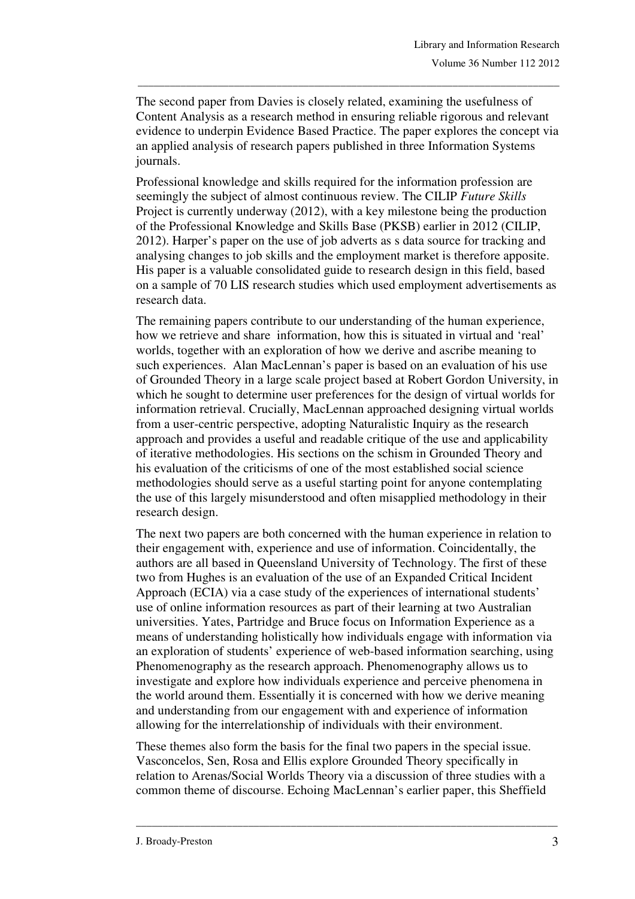The second paper from Davies is closely related, examining the usefulness of Content Analysis as a research method in ensuring reliable rigorous and relevant evidence to underpin Evidence Based Practice. The paper explores the concept via an applied analysis of research papers published in three Information Systems journals.

\_\_\_\_\_\_\_\_\_\_\_\_\_\_\_\_\_\_\_\_\_\_\_\_\_\_\_\_\_\_\_\_\_\_\_\_\_\_\_\_\_\_\_\_\_\_\_\_\_\_\_\_\_\_\_\_\_\_\_\_\_\_\_\_\_\_\_\_\_\_\_\_\_\_\_\_\_\_\_

Professional knowledge and skills required for the information profession are seemingly the subject of almost continuous review. The CILIP *Future Skills*  Project is currently underway (2012), with a key milestone being the production of the Professional Knowledge and Skills Base (PKSB) earlier in 2012 (CILIP, 2012). Harper's paper on the use of job adverts as s data source for tracking and analysing changes to job skills and the employment market is therefore apposite. His paper is a valuable consolidated guide to research design in this field, based on a sample of 70 LIS research studies which used employment advertisements as research data.

The remaining papers contribute to our understanding of the human experience, how we retrieve and share information, how this is situated in virtual and 'real' worlds, together with an exploration of how we derive and ascribe meaning to such experiences. Alan MacLennan's paper is based on an evaluation of his use of Grounded Theory in a large scale project based at Robert Gordon University, in which he sought to determine user preferences for the design of virtual worlds for information retrieval. Crucially, MacLennan approached designing virtual worlds from a user-centric perspective, adopting Naturalistic Inquiry as the research approach and provides a useful and readable critique of the use and applicability of iterative methodologies. His sections on the schism in Grounded Theory and his evaluation of the criticisms of one of the most established social science methodologies should serve as a useful starting point for anyone contemplating the use of this largely misunderstood and often misapplied methodology in their research design.

The next two papers are both concerned with the human experience in relation to their engagement with, experience and use of information. Coincidentally, the authors are all based in Queensland University of Technology. The first of these two from Hughes is an evaluation of the use of an Expanded Critical Incident Approach (ECIA) via a case study of the experiences of international students' use of online information resources as part of their learning at two Australian universities. Yates, Partridge and Bruce focus on Information Experience as a means of understanding holistically how individuals engage with information via an exploration of students' experience of web-based information searching, using Phenomenography as the research approach. Phenomenography allows us to investigate and explore how individuals experience and perceive phenomena in the world around them. Essentially it is concerned with how we derive meaning and understanding from our engagement with and experience of information allowing for the interrelationship of individuals with their environment.

These themes also form the basis for the final two papers in the special issue. Vasconcelos, Sen, Rosa and Ellis explore Grounded Theory specifically in relation to Arenas/Social Worlds Theory via a discussion of three studies with a common theme of discourse. Echoing MacLennan's earlier paper, this Sheffield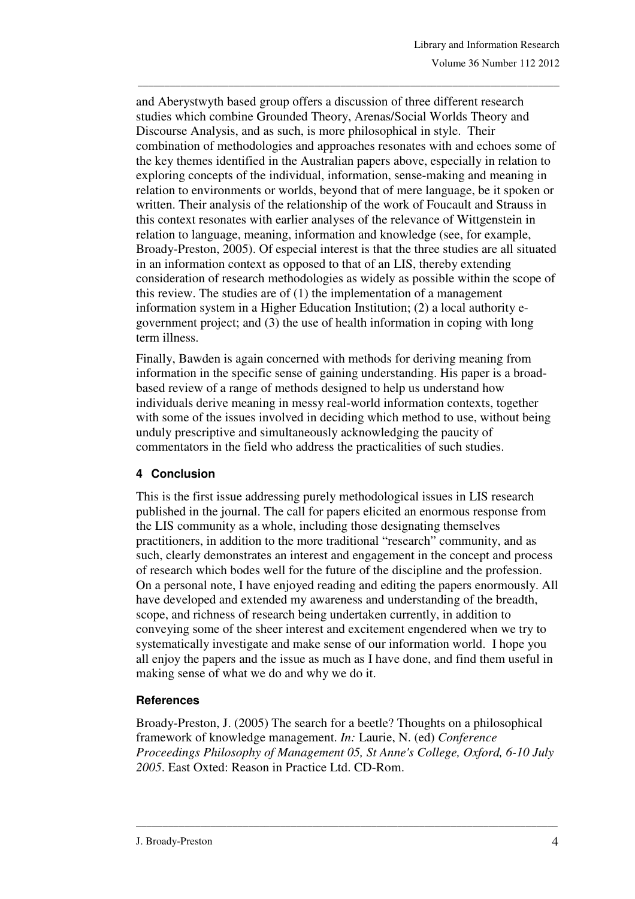and Aberystwyth based group offers a discussion of three different research studies which combine Grounded Theory, Arenas/Social Worlds Theory and Discourse Analysis, and as such, is more philosophical in style. Their combination of methodologies and approaches resonates with and echoes some of the key themes identified in the Australian papers above, especially in relation to exploring concepts of the individual, information, sense-making and meaning in relation to environments or worlds, beyond that of mere language, be it spoken or written. Their analysis of the relationship of the work of Foucault and Strauss in this context resonates with earlier analyses of the relevance of Wittgenstein in relation to language, meaning, information and knowledge (see, for example, Broady-Preston, 2005). Of especial interest is that the three studies are all situated in an information context as opposed to that of an LIS, thereby extending consideration of research methodologies as widely as possible within the scope of this review. The studies are of (1) the implementation of a management information system in a Higher Education Institution; (2) a local authority egovernment project; and (3) the use of health information in coping with long term illness.

\_\_\_\_\_\_\_\_\_\_\_\_\_\_\_\_\_\_\_\_\_\_\_\_\_\_\_\_\_\_\_\_\_\_\_\_\_\_\_\_\_\_\_\_\_\_\_\_\_\_\_\_\_\_\_\_\_\_\_\_\_\_\_\_\_\_\_\_\_\_\_\_\_\_\_\_\_\_\_

Finally, Bawden is again concerned with methods for deriving meaning from information in the specific sense of gaining understanding. His paper is a broadbased review of a range of methods designed to help us understand how individuals derive meaning in messy real-world information contexts, together with some of the issues involved in deciding which method to use, without being unduly prescriptive and simultaneously acknowledging the paucity of commentators in the field who address the practicalities of such studies.

### **4 Conclusion**

This is the first issue addressing purely methodological issues in LIS research published in the journal. The call for papers elicited an enormous response from the LIS community as a whole, including those designating themselves practitioners, in addition to the more traditional "research" community, and as such, clearly demonstrates an interest and engagement in the concept and process of research which bodes well for the future of the discipline and the profession. On a personal note, I have enjoyed reading and editing the papers enormously. All have developed and extended my awareness and understanding of the breadth, scope, and richness of research being undertaken currently, in addition to conveying some of the sheer interest and excitement engendered when we try to systematically investigate and make sense of our information world. I hope you all enjoy the papers and the issue as much as I have done, and find them useful in making sense of what we do and why we do it.

# **References**

Broady-Preston, J. (2005) The search for a beetle? Thoughts on a philosophical framework of knowledge management. *In:* Laurie, N. (ed) *Conference Proceedings Philosophy of Management 05, St Anne's College, Oxford, 6-10 July 2005*. East Oxted: Reason in Practice Ltd. CD-Rom.